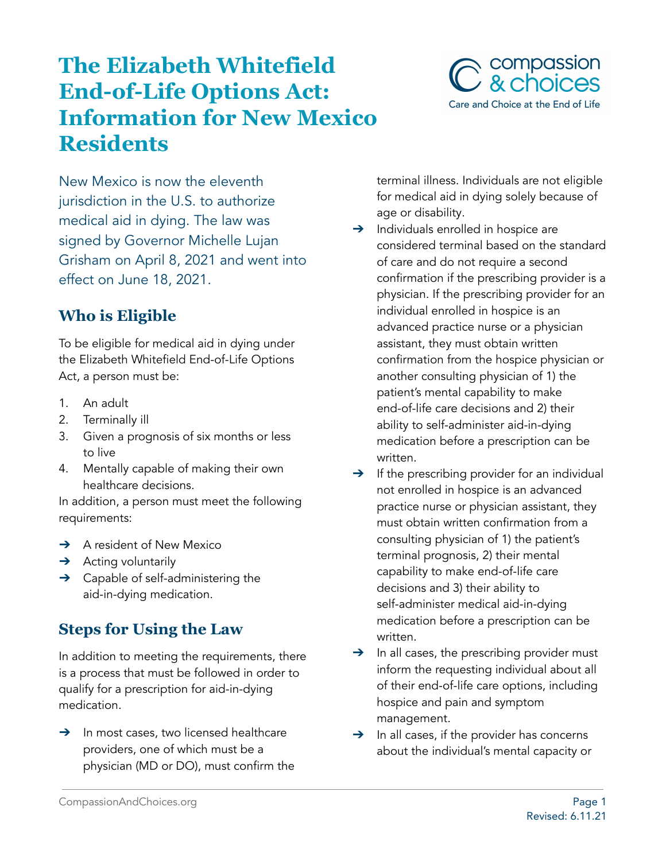# **The Elizabeth Whitefield End-of-Life Options Act: Information for New Mexico Residents**



New Mexico is now the eleventh jurisdiction in the U.S. to authorize medical aid in dying. The law was signed by Governor Michelle Lujan Grisham on April 8, 2021 and went into effect on June 18, 2021.

## **Who is Eligible**

To be eligible for medical aid in dying under the Elizabeth Whitefield End-of-Life Options Act, a person must be:

- 1. An adult
- 2. Terminally ill
- 3. Given a prognosis of six months or less to live
- 4. Mentally capable of making their own healthcare decisions.

In addition, a person must meet the following requirements:

- ➔ A resident of New Mexico
- $\rightarrow$  Acting voluntarily
- $\rightarrow$  Capable of self-administering the aid-in-dying medication.

## **Steps for Using the Law**

In addition to meeting the requirements, there is a process that must be followed in order to qualify for a prescription for aid-in-dying medication.

 $\rightarrow$  In most cases, two licensed healthcare providers, one of which must be a physician (MD or DO), must confirm the terminal illness. Individuals are not eligible for medical aid in dying solely because of age or disability.

- → Individuals enrolled in hospice are considered terminal based on the standard of care and do not require a second confirmation if the prescribing provider is a physician. If the prescribing provider for an individual enrolled in hospice is an advanced practice nurse or a physician assistant, they must obtain written confirmation from the hospice physician or another consulting physician of 1) the patient's mental capability to make end-of-life care decisions and 2) their ability to self-administer aid-in-dying medication before a prescription can be written.
- $\rightarrow$  If the prescribing provider for an individual not enrolled in hospice is an advanced practice nurse or physician assistant, they must obtain written confirmation from a consulting physician of 1) the patient's terminal prognosis, 2) their mental capability to make end-of-life care decisions and 3) their ability to self-administer medical aid-in-dying medication before a prescription can be written.
- $\rightarrow$  In all cases, the prescribing provider must inform the requesting individual about all of their end-of-life care options, including hospice and pain and symptom management.
- ➔ In all cases, if the provider has concerns about the individual's mental capacity or